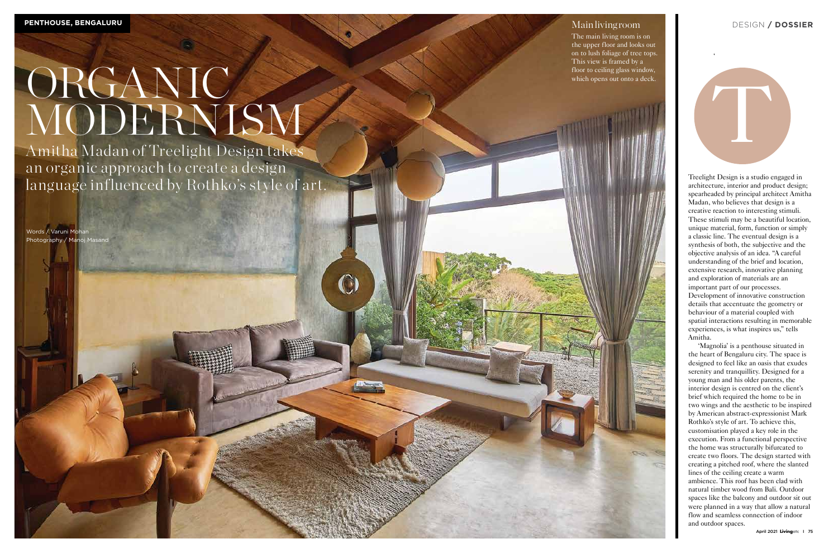Treelight Design is a studio engaged in architecture, interior and product design; spearheaded by principal architect Amitha Madan, who believes that design is a creative reaction to interesting stimuli. These stimuli may be a beautiful location, unique material, form, function or simply a classic line. The eventual design is a synthesis of both, the subjective and the objective analysis of an idea. "A careful understanding of the brief and location, extensive research, innovative planning and exploration of materials are an important part of our processes. Development of innovative construction details that accentuate the geometry or behaviour of a material coupled with spatial interactions resulting in memorable experiences, is what inspires us," tells Amitha.

 'Magnolia' is a penthouse situated in the heart of Bengaluru city. The space is designed to feel like an oasis that exudes serenity and tranquillity. Designed for a young man and his older parents, the interior design is centred on the client's brief which required the home to be in two wings and the aesthetic to be inspired by American abstract-expressionist Mark Rothko's style of art. To achieve this, customisation played a key role in the execution. From a functional perspective the home was structurally bifurcated to create two floors. The design started with creating a pitched roof, where the slanted lines of the ceiling create a warm ambience. This roof has been clad with natural timber wood from Bali. Outdoor spaces like the balcony and outdoor sit out were planned in a way that allow a natural flow and seamless connection of indoor and outdoor spaces.

# ORGANIC MODERNISM

Words / Varuni Mohan Photography / Manoj Masand

# Main living room

The main living room is on the upper floor and looks out on to lush foliage of tree tops. This view is framed by a floor to ceiling glass window, which opens out onto a deck.



Amitha Madan of Treelight Design takes an organic approach to create a design language influenced by Rothko's style of art.

## DESIGN **/ DOSSIER**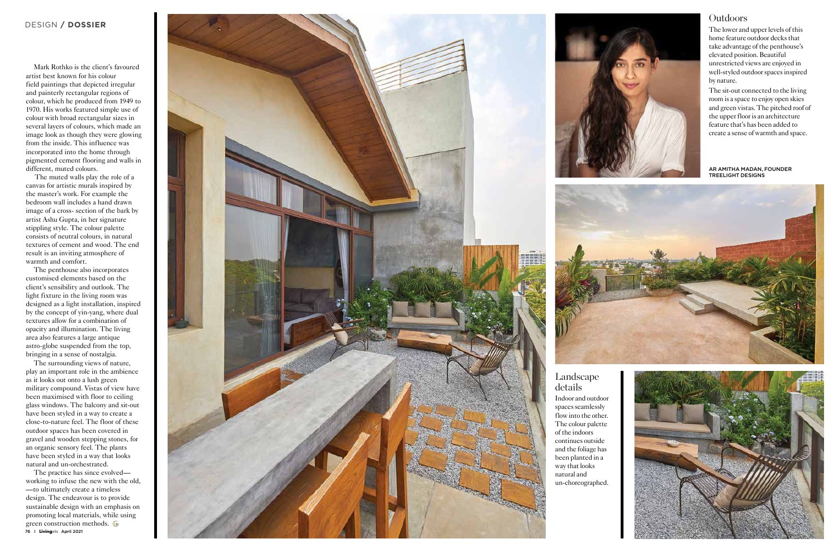Mark Rothko is the client's favoured artist best known for his colour field paintings that depicted irregular and painterly rectangular regions of colour, which he produced from 1949 to 1970. His works featured simple use of colour with broad rectangular sizes in several layers of colours, which made an image look as though they were glowing from the inside. This influence was incorporated into the home through pigmented cement flooring and walls in different, muted colours.

 The muted walls play the role of a canvas for artistic murals inspired by the master's work. For example the bedroom wall includes a hand drawn image of a cross- section of the bark by artist Ashu Gupta, in her signature stippling style. The colour palette consists of neutral colours, in natural textures of cement and wood. The end result is an inviting atmosphere of warmth and comfort.

The penthouse also incorporates customised elements based on the client's sensibility and outlook. The light fixture in the living room was designed as a light installation, inspired by the concept of yin-yang, where dual textures allow for a combination of opacity and illumination. The living area also features a large antique astro-globe suspended from the top, bringing in a sense of nostalgia.

The surrounding views of nature, play an important role in the ambience as it looks out onto a lush green military compound. Vistas of view have been maximised with floor to ceiling glass windows. The balcony and sit-out have been styled in a way to create a close-to-nature feel. The floor of these outdoor spaces has been covered in gravel and wooden stepping stones, for an organic sensory feel. The plants have been styled in a way that looks natural and un-orchestrated.

The lower and upper levels of this home feature outdoor decks that take advantage of the penthouse's elevated position. Beautiful unrestricted views are enjoyed in well-styled outdoor spaces inspired by nature.

The practice has since evolved working to infuse the new with the old, —to ultimately create a timeless design. The endeavour is to provide sustainable design with an emphasis on promoting local materials, while using green construction methods. *E* 76 I **Livingetc** April 2021



The sit-out connected to the living room is a space to enjoy open skies and green vistas. The pitched roof of the upper floor is an architecture feature that's has been added to create a sense of warmth and space.

## Landscape details

Indoor and outdoor spaces seamlessly flow into the other. The colour palette of the indoors continues outside and the foliage has been planted in a way that looks natural and un-choreographed.



# **Outdoors**

AR AMITHA MADAN, FOUNDER TREELIGHT DESIGNS